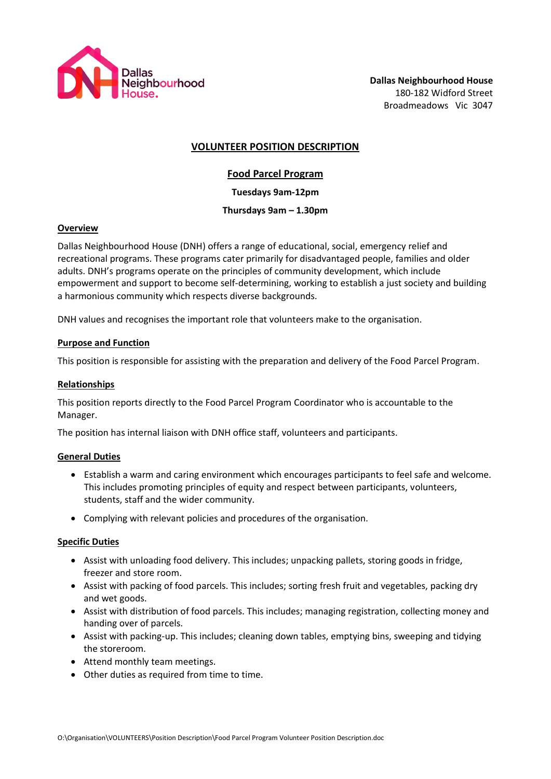

## **VOLUNTEER POSITION DESCRIPTION**

## **Food Parcel Program**

**Tuesdays 9am-12pm**

## **Thursdays 9am – 1.30pm**

#### **Overview**

Dallas Neighbourhood House (DNH) offers a range of educational, social, emergency relief and recreational programs. These programs cater primarily for disadvantaged people, families and older adults. DNH's programs operate on the principles of community development, which include empowerment and support to become self-determining, working to establish a just society and building a harmonious community which respects diverse backgrounds.

DNH values and recognises the important role that volunteers make to the organisation.

### **Purpose and Function**

This position is responsible for assisting with the preparation and delivery of the Food Parcel Program.

### **Relationships**

This position reports directly to the Food Parcel Program Coordinator who is accountable to the Manager.

The position has internal liaison with DNH office staff, volunteers and participants.

### **General Duties**

- Establish a warm and caring environment which encourages participants to feel safe and welcome. This includes promoting principles of equity and respect between participants, volunteers, students, staff and the wider community.
- Complying with relevant policies and procedures of the organisation.

### **Specific Duties**

- Assist with unloading food delivery. This includes; unpacking pallets, storing goods in fridge, freezer and store room.
- Assist with packing of food parcels. This includes; sorting fresh fruit and vegetables, packing dry and wet goods.
- Assist with distribution of food parcels. This includes; managing registration, collecting money and handing over of parcels.
- Assist with packing-up. This includes; cleaning down tables, emptying bins, sweeping and tidying the storeroom.
- Attend monthly team meetings.
- Other duties as required from time to time.